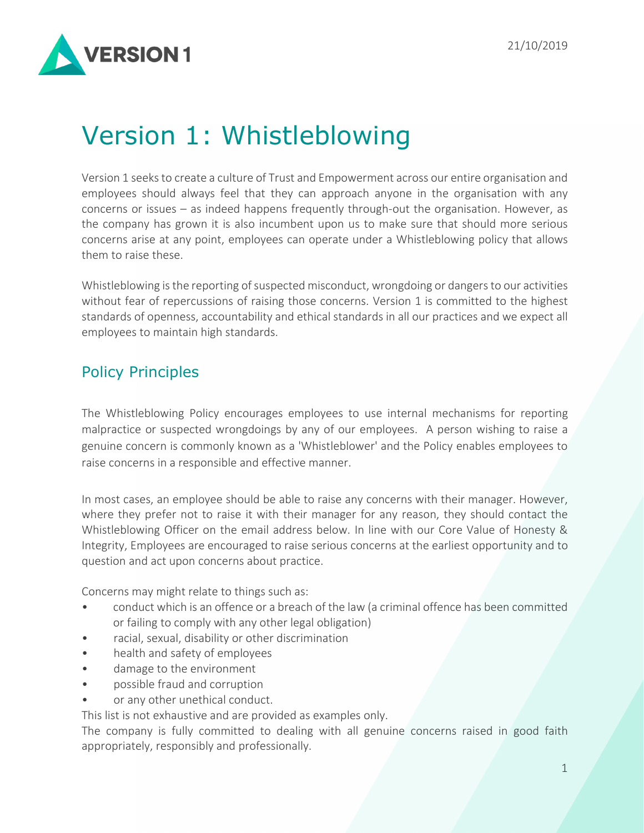**ERSION1** 

## Version 1: Whistleblowing

Version 1 seeks to create a culture of Trust and Empowerment across our entire organisation and employees should always feel that they can approach anyone in the organisation with any concerns or issues – as indeed happens frequently through-out the organisation. However, as the company has grown it is also incumbent upon us to make sure that should more serious concerns arise at any point, employees can operate under a Whistleblowing policy that allows them to raise these.

Whistleblowing is the reporting of suspected misconduct, wrongdoing or dangers to our activities without fear of repercussions of raising those concerns. Version 1 is committed to the highest standards of openness, accountability and ethical standards in all our practices and we expect all employees to maintain high standards.

## Policy Principles

The Whistleblowing Policy encourages employees to use internal mechanisms for reporting malpractice or suspected wrongdoings by any of our employees. A person wishing to raise a genuine concern is commonly known as a 'Whistleblower' and the Policy enables employees to raise concerns in a responsible and effective manner.

In most cases, an employee should be able to raise any concerns with their manager. However, where they prefer not to raise it with their manager for any reason, they should contact the Whistleblowing Officer on the email address below. In line with our Core Value of Honesty & Integrity, Employees are encouraged to raise serious concerns at the earliest opportunity and to question and act upon concerns about practice.

Concerns may might relate to things such as:

- conduct which is an offence or a breach of the law (a criminal offence has been committed or failing to comply with any other legal obligation)
- racial, sexual, disability or other discrimination
- health and safety of employees
- damage to the environment
- possible fraud and corruption
- or any other unethical conduct.

This list is not exhaustive and are provided as examples only.

The company is fully committed to dealing with all genuine concerns raised in good faith appropriately, responsibly and professionally.